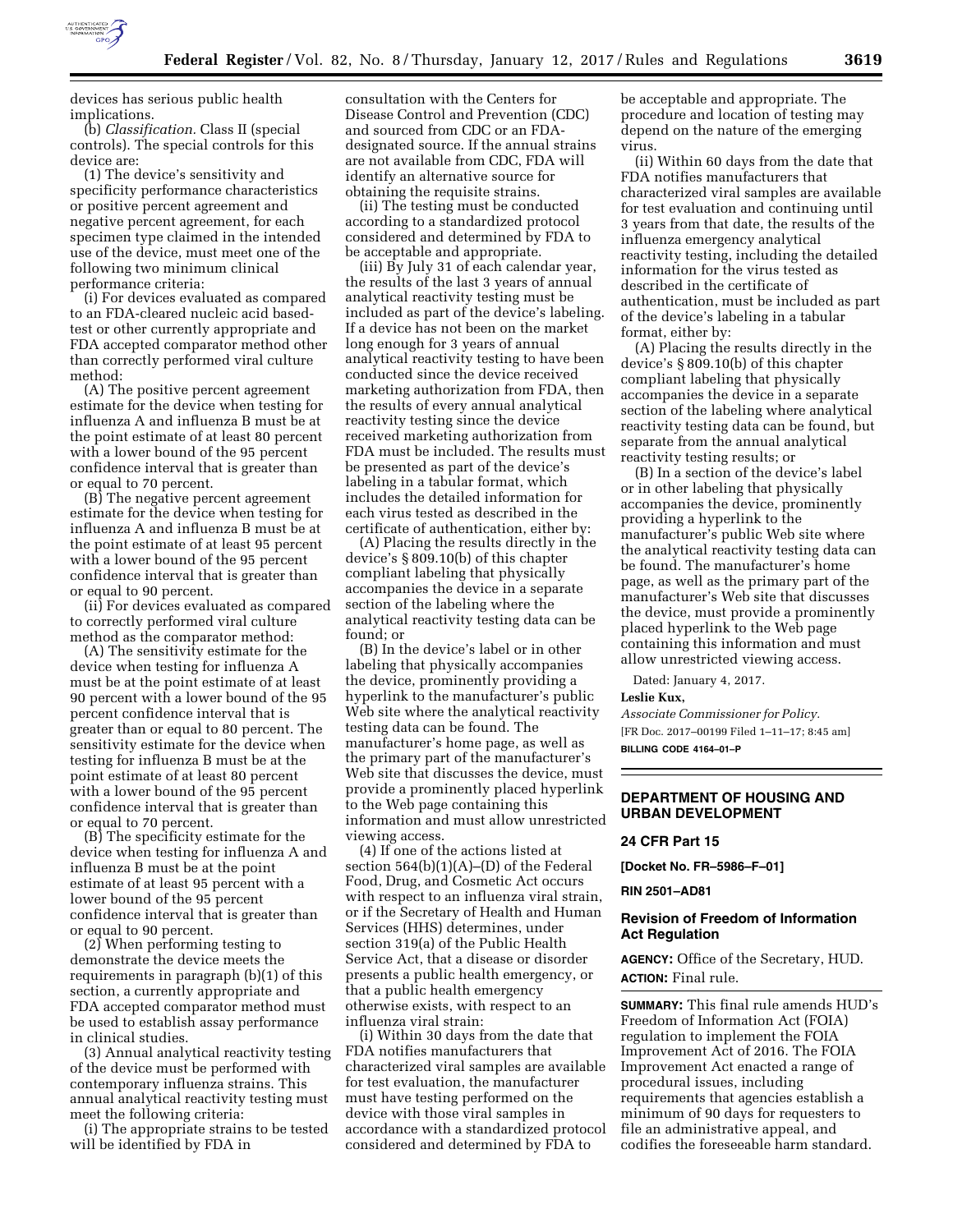

devices has serious public health implications.

(b) *Classification.* Class II (special controls). The special controls for this device are:

(1) The device's sensitivity and specificity performance characteristics or positive percent agreement and negative percent agreement, for each specimen type claimed in the intended use of the device, must meet one of the following two minimum clinical performance criteria:

(i) For devices evaluated as compared to an FDA-cleared nucleic acid basedtest or other currently appropriate and FDA accepted comparator method other than correctly performed viral culture method:

(A) The positive percent agreement estimate for the device when testing for influenza A and influenza B must be at the point estimate of at least 80 percent with a lower bound of the 95 percent confidence interval that is greater than or equal to 70 percent.

(B) The negative percent agreement estimate for the device when testing for influenza A and influenza B must be at the point estimate of at least 95 percent with a lower bound of the 95 percent confidence interval that is greater than or equal to 90 percent.

(ii) For devices evaluated as compared to correctly performed viral culture method as the comparator method:

(A) The sensitivity estimate for the device when testing for influenza A must be at the point estimate of at least 90 percent with a lower bound of the 95 percent confidence interval that is greater than or equal to 80 percent. The sensitivity estimate for the device when testing for influenza B must be at the point estimate of at least 80 percent with a lower bound of the 95 percent confidence interval that is greater than or equal to 70 percent.

(B) The specificity estimate for the device when testing for influenza A and influenza B must be at the point estimate of at least 95 percent with a lower bound of the 95 percent confidence interval that is greater than or equal to 90 percent.

(2) When performing testing to demonstrate the device meets the requirements in paragraph (b)(1) of this section, a currently appropriate and FDA accepted comparator method must be used to establish assay performance in clinical studies.

(3) Annual analytical reactivity testing of the device must be performed with contemporary influenza strains. This annual analytical reactivity testing must meet the following criteria:

(i) The appropriate strains to be tested will be identified by FDA in

consultation with the Centers for Disease Control and Prevention (CDC) and sourced from CDC or an FDAdesignated source. If the annual strains are not available from CDC, FDA will identify an alternative source for obtaining the requisite strains.

(ii) The testing must be conducted according to a standardized protocol considered and determined by FDA to be acceptable and appropriate.

(iii) By July 31 of each calendar year, the results of the last 3 years of annual analytical reactivity testing must be included as part of the device's labeling. If a device has not been on the market long enough for 3 years of annual analytical reactivity testing to have been conducted since the device received marketing authorization from FDA, then the results of every annual analytical reactivity testing since the device received marketing authorization from FDA must be included. The results must be presented as part of the device's labeling in a tabular format, which includes the detailed information for each virus tested as described in the certificate of authentication, either by:

(A) Placing the results directly in the device's § 809.10(b) of this chapter compliant labeling that physically accompanies the device in a separate section of the labeling where the analytical reactivity testing data can be found; or

(B) In the device's label or in other labeling that physically accompanies the device, prominently providing a hyperlink to the manufacturer's public Web site where the analytical reactivity testing data can be found. The manufacturer's home page, as well as the primary part of the manufacturer's Web site that discusses the device, must provide a prominently placed hyperlink to the Web page containing this information and must allow unrestricted viewing access.

(4) If one of the actions listed at section  $564(b)(1)(A)$ –(D) of the Federal Food, Drug, and Cosmetic Act occurs with respect to an influenza viral strain, or if the Secretary of Health and Human Services (HHS) determines, under section 319(a) of the Public Health Service Act, that a disease or disorder presents a public health emergency, or that a public health emergency otherwise exists, with respect to an influenza viral strain:

(i) Within 30 days from the date that FDA notifies manufacturers that characterized viral samples are available for test evaluation, the manufacturer must have testing performed on the device with those viral samples in accordance with a standardized protocol considered and determined by FDA to

be acceptable and appropriate. The procedure and location of testing may depend on the nature of the emerging virus.

(ii) Within 60 days from the date that FDA notifies manufacturers that characterized viral samples are available for test evaluation and continuing until 3 years from that date, the results of the influenza emergency analytical reactivity testing, including the detailed information for the virus tested as described in the certificate of authentication, must be included as part of the device's labeling in a tabular format, either by:

(A) Placing the results directly in the device's § 809.10(b) of this chapter compliant labeling that physically accompanies the device in a separate section of the labeling where analytical reactivity testing data can be found, but separate from the annual analytical reactivity testing results; or

(B) In a section of the device's label or in other labeling that physically accompanies the device, prominently providing a hyperlink to the manufacturer's public Web site where the analytical reactivity testing data can be found. The manufacturer's home page, as well as the primary part of the manufacturer's Web site that discusses the device, must provide a prominently placed hyperlink to the Web page containing this information and must allow unrestricted viewing access.

Dated: January 4, 2017.

#### **Leslie Kux,**

*Associate Commissioner for Policy.*  [FR Doc. 2017–00199 Filed 1–11–17; 8:45 am] **BILLING CODE 4164–01–P** 

# **DEPARTMENT OF HOUSING AND URBAN DEVELOPMENT**

### **24 CFR Part 15**

**[Docket No. FR–5986–F–01]** 

### **RIN 2501–AD81**

## **Revision of Freedom of Information Act Regulation**

**AGENCY:** Office of the Secretary, HUD. **ACTION:** Final rule.

**SUMMARY:** This final rule amends HUD's Freedom of Information Act (FOIA) regulation to implement the FOIA Improvement Act of 2016. The FOIA Improvement Act enacted a range of procedural issues, including requirements that agencies establish a minimum of 90 days for requesters to file an administrative appeal, and codifies the foreseeable harm standard.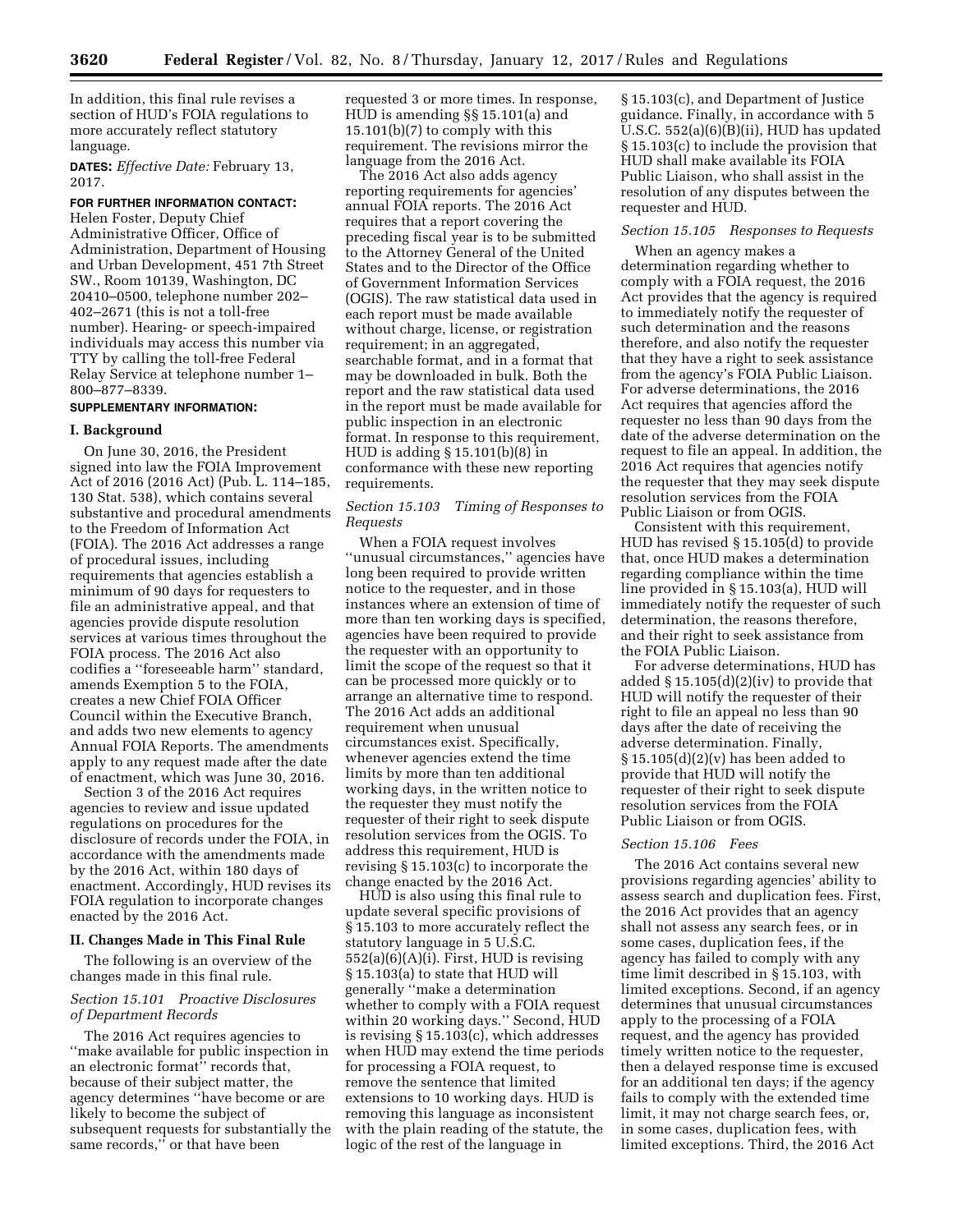In addition, this final rule revises a section of HUD's FOIA regulations to more accurately reflect statutory language.

**DATES:** *Effective Date:* February 13, 2017.

## **FOR FURTHER INFORMATION CONTACT:**  Helen Foster, Deputy Chief

Administrative Officer, Office of Administration, Department of Housing and Urban Development, 451 7th Street SW., Room 10139, Washington, DC 20410–0500, telephone number 202– 402–2671 (this is not a toll-free number). Hearing- or speech-impaired individuals may access this number via TTY by calling the toll-free Federal Relay Service at telephone number 1– 800–877–8339.

# **SUPPLEMENTARY INFORMATION:**

#### **I. Background**

On June 30, 2016, the President signed into law the FOIA Improvement Act of 2016 (2016 Act) (Pub. L. 114–185, 130 Stat. 538), which contains several substantive and procedural amendments to the Freedom of Information Act (FOIA). The 2016 Act addresses a range of procedural issues, including requirements that agencies establish a minimum of 90 days for requesters to file an administrative appeal, and that agencies provide dispute resolution services at various times throughout the FOIA process. The 2016 Act also codifies a ''foreseeable harm'' standard, amends Exemption 5 to the FOIA, creates a new Chief FOIA Officer Council within the Executive Branch, and adds two new elements to agency Annual FOIA Reports. The amendments apply to any request made after the date of enactment, which was June 30, 2016.

Section 3 of the 2016 Act requires agencies to review and issue updated regulations on procedures for the disclosure of records under the FOIA, in accordance with the amendments made by the 2016 Act, within 180 days of enactment. Accordingly, HUD revises its FOIA regulation to incorporate changes enacted by the 2016 Act.

### **II. Changes Made in This Final Rule**

The following is an overview of the changes made in this final rule.

## *Section 15.101 Proactive Disclosures of Department Records*

The 2016 Act requires agencies to ''make available for public inspection in an electronic format'' records that, because of their subject matter, the agency determines ''have become or are likely to become the subject of subsequent requests for substantially the same records,'' or that have been

requested 3 or more times. In response, HUD is amending §§ 15.101(a) and 15.101(b)(7) to comply with this requirement. The revisions mirror the language from the 2016 Act.

The 2016 Act also adds agency reporting requirements for agencies' annual FOIA reports. The 2016 Act requires that a report covering the preceding fiscal year is to be submitted to the Attorney General of the United States and to the Director of the Office of Government Information Services (OGIS). The raw statistical data used in each report must be made available without charge, license, or registration requirement; in an aggregated, searchable format, and in a format that may be downloaded in bulk. Both the report and the raw statistical data used in the report must be made available for public inspection in an electronic format. In response to this requirement, HUD is adding § 15.101(b)(8) in conformance with these new reporting requirements.

### *Section 15.103 Timing of Responses to Requests*

When a FOIA request involves ''unusual circumstances,'' agencies have long been required to provide written notice to the requester, and in those instances where an extension of time of more than ten working days is specified, agencies have been required to provide the requester with an opportunity to limit the scope of the request so that it can be processed more quickly or to arrange an alternative time to respond. The 2016 Act adds an additional requirement when unusual circumstances exist. Specifically, whenever agencies extend the time limits by more than ten additional working days, in the written notice to the requester they must notify the requester of their right to seek dispute resolution services from the OGIS. To address this requirement, HUD is revising § 15.103(c) to incorporate the change enacted by the 2016 Act.

HUD is also using this final rule to update several specific provisions of § 15.103 to more accurately reflect the statutory language in 5 U.S.C. 552(a)(6)(A)(i). First, HUD is revising § 15.103(a) to state that HUD will generally ''make a determination whether to comply with a FOIA request within 20 working days.'' Second, HUD is revising § 15.103(c), which addresses when HUD may extend the time periods for processing a FOIA request, to remove the sentence that limited extensions to 10 working days. HUD is removing this language as inconsistent with the plain reading of the statute, the logic of the rest of the language in

§ 15.103(c), and Department of Justice guidance. Finally, in accordance with 5 U.S.C. 552(a)(6)(B)(ii), HUD has updated § 15.103(c) to include the provision that HUD shall make available its FOIA Public Liaison, who shall assist in the resolution of any disputes between the requester and HUD.

## *Section 15.105 Responses to Requests*

When an agency makes a determination regarding whether to comply with a FOIA request, the 2016 Act provides that the agency is required to immediately notify the requester of such determination and the reasons therefore, and also notify the requester that they have a right to seek assistance from the agency's FOIA Public Liaison. For adverse determinations, the 2016 Act requires that agencies afford the requester no less than 90 days from the date of the adverse determination on the request to file an appeal. In addition, the 2016 Act requires that agencies notify the requester that they may seek dispute resolution services from the FOIA Public Liaison or from OGIS.

Consistent with this requirement, HUD has revised § 15.105(d) to provide that, once HUD makes a determination regarding compliance within the time line provided in § 15.103(a), HUD will immediately notify the requester of such determination, the reasons therefore, and their right to seek assistance from the FOIA Public Liaison.

For adverse determinations, HUD has added § 15.105(d)(2)(iv) to provide that HUD will notify the requester of their right to file an appeal no less than 90 days after the date of receiving the adverse determination. Finally,  $§ 15.105(d)(2)(v)$  has been added to provide that HUD will notify the requester of their right to seek dispute resolution services from the FOIA Public Liaison or from OGIS.

# *Section 15.106 Fees*

The 2016 Act contains several new provisions regarding agencies' ability to assess search and duplication fees. First, the 2016 Act provides that an agency shall not assess any search fees, or in some cases, duplication fees, if the agency has failed to comply with any time limit described in § 15.103, with limited exceptions. Second, if an agency determines that unusual circumstances apply to the processing of a FOIA request, and the agency has provided timely written notice to the requester, then a delayed response time is excused for an additional ten days; if the agency fails to comply with the extended time limit, it may not charge search fees, or, in some cases, duplication fees, with limited exceptions. Third, the 2016 Act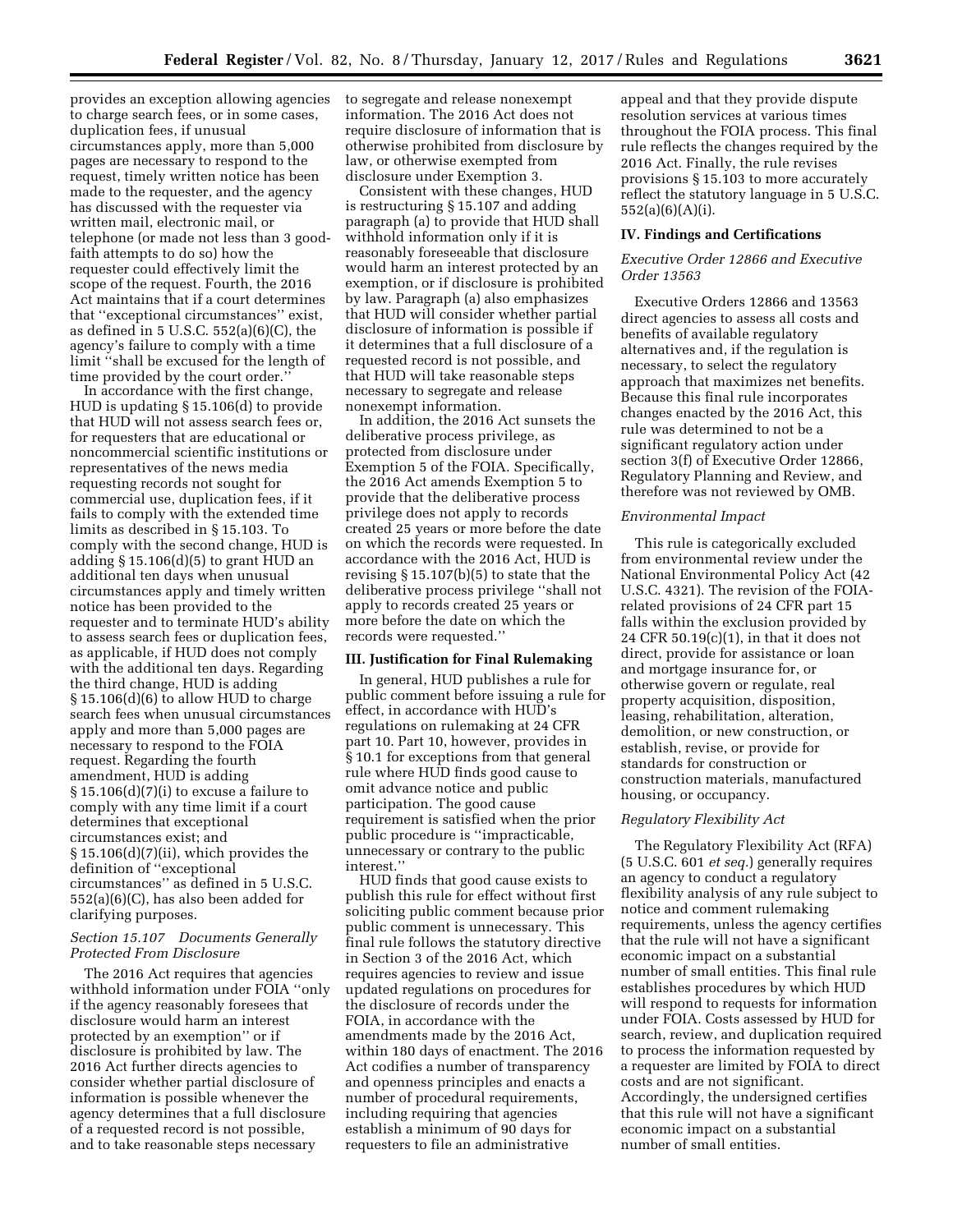provides an exception allowing agencies to charge search fees, or in some cases, duplication fees, if unusual circumstances apply, more than 5,000 pages are necessary to respond to the request, timely written notice has been made to the requester, and the agency has discussed with the requester via written mail, electronic mail, or telephone (or made not less than 3 goodfaith attempts to do so) how the requester could effectively limit the scope of the request. Fourth, the 2016 Act maintains that if a court determines that ''exceptional circumstances'' exist, as defined in  $5 \text{ U.S.C. } 552(a)(6)(C)$ , the agency's failure to comply with a time limit ''shall be excused for the length of time provided by the court order.''

In accordance with the first change, HUD is updating § 15.106(d) to provide that HUD will not assess search fees or, for requesters that are educational or noncommercial scientific institutions or representatives of the news media requesting records not sought for commercial use, duplication fees, if it fails to comply with the extended time limits as described in § 15.103. To comply with the second change, HUD is adding  $\S 15.106(d)(5)$  to grant HUD an additional ten days when unusual circumstances apply and timely written notice has been provided to the requester and to terminate HUD's ability to assess search fees or duplication fees, as applicable, if HUD does not comply with the additional ten days. Regarding the third change, HUD is adding  $§ 15.106(d)(6)$  to allow HUD to charge search fees when unusual circumstances apply and more than 5,000 pages are necessary to respond to the FOIA request. Regarding the fourth amendment, HUD is adding § 15.106(d)(7)(i) to excuse a failure to comply with any time limit if a court determines that exceptional circumstances exist; and § 15.106(d)(7)(ii), which provides the definition of ''exceptional circumstances'' as defined in 5 U.S.C. 552(a)(6)(C), has also been added for clarifying purposes.

## *Section 15.107 Documents Generally Protected From Disclosure*

The 2016 Act requires that agencies withhold information under FOIA ''only if the agency reasonably foresees that disclosure would harm an interest protected by an exemption'' or if disclosure is prohibited by law. The 2016 Act further directs agencies to consider whether partial disclosure of information is possible whenever the agency determines that a full disclosure of a requested record is not possible, and to take reasonable steps necessary

to segregate and release nonexempt information. The 2016 Act does not require disclosure of information that is otherwise prohibited from disclosure by law, or otherwise exempted from disclosure under Exemption 3.

Consistent with these changes, HUD is restructuring § 15.107 and adding paragraph (a) to provide that HUD shall withhold information only if it is reasonably foreseeable that disclosure would harm an interest protected by an exemption, or if disclosure is prohibited by law. Paragraph (a) also emphasizes that HUD will consider whether partial disclosure of information is possible if it determines that a full disclosure of a requested record is not possible, and that HUD will take reasonable steps necessary to segregate and release nonexempt information.

In addition, the 2016 Act sunsets the deliberative process privilege, as protected from disclosure under Exemption 5 of the FOIA. Specifically, the 2016 Act amends Exemption 5 to provide that the deliberative process privilege does not apply to records created 25 years or more before the date on which the records were requested. In accordance with the 2016 Act, HUD is revising § 15.107(b)(5) to state that the deliberative process privilege ''shall not apply to records created 25 years or more before the date on which the records were requested.''

### **III. Justification for Final Rulemaking**

In general, HUD publishes a rule for public comment before issuing a rule for effect, in accordance with HUD's regulations on rulemaking at 24 CFR part 10. Part 10, however, provides in § 10.1 for exceptions from that general rule where HUD finds good cause to omit advance notice and public participation. The good cause requirement is satisfied when the prior public procedure is ''impracticable, unnecessary or contrary to the public interest.''

HUD finds that good cause exists to publish this rule for effect without first soliciting public comment because prior public comment is unnecessary. This final rule follows the statutory directive in Section 3 of the 2016 Act, which requires agencies to review and issue updated regulations on procedures for the disclosure of records under the FOIA, in accordance with the amendments made by the 2016 Act, within 180 days of enactment. The 2016 Act codifies a number of transparency and openness principles and enacts a number of procedural requirements, including requiring that agencies establish a minimum of 90 days for requesters to file an administrative

appeal and that they provide dispute resolution services at various times throughout the FOIA process. This final rule reflects the changes required by the 2016 Act. Finally, the rule revises provisions § 15.103 to more accurately reflect the statutory language in 5 U.S.C. 552(a)(6)(A)(i).

#### **IV. Findings and Certifications**

# *Executive Order 12866 and Executive Order 13563*

Executive Orders 12866 and 13563 direct agencies to assess all costs and benefits of available regulatory alternatives and, if the regulation is necessary, to select the regulatory approach that maximizes net benefits. Because this final rule incorporates changes enacted by the 2016 Act, this rule was determined to not be a significant regulatory action under section 3(f) of Executive Order 12866, Regulatory Planning and Review, and therefore was not reviewed by OMB.

## *Environmental Impact*

This rule is categorically excluded from environmental review under the National Environmental Policy Act (42 U.S.C. 4321). The revision of the FOIArelated provisions of 24 CFR part 15 falls within the exclusion provided by 24 CFR 50.19(c)(1), in that it does not direct, provide for assistance or loan and mortgage insurance for, or otherwise govern or regulate, real property acquisition, disposition, leasing, rehabilitation, alteration, demolition, or new construction, or establish, revise, or provide for standards for construction or construction materials, manufactured housing, or occupancy.

#### *Regulatory Flexibility Act*

The Regulatory Flexibility Act (RFA) (5 U.S.C. 601 *et seq.*) generally requires an agency to conduct a regulatory flexibility analysis of any rule subject to notice and comment rulemaking requirements, unless the agency certifies that the rule will not have a significant economic impact on a substantial number of small entities. This final rule establishes procedures by which HUD will respond to requests for information under FOIA. Costs assessed by HUD for search, review, and duplication required to process the information requested by a requester are limited by FOIA to direct costs and are not significant. Accordingly, the undersigned certifies that this rule will not have a significant economic impact on a substantial number of small entities.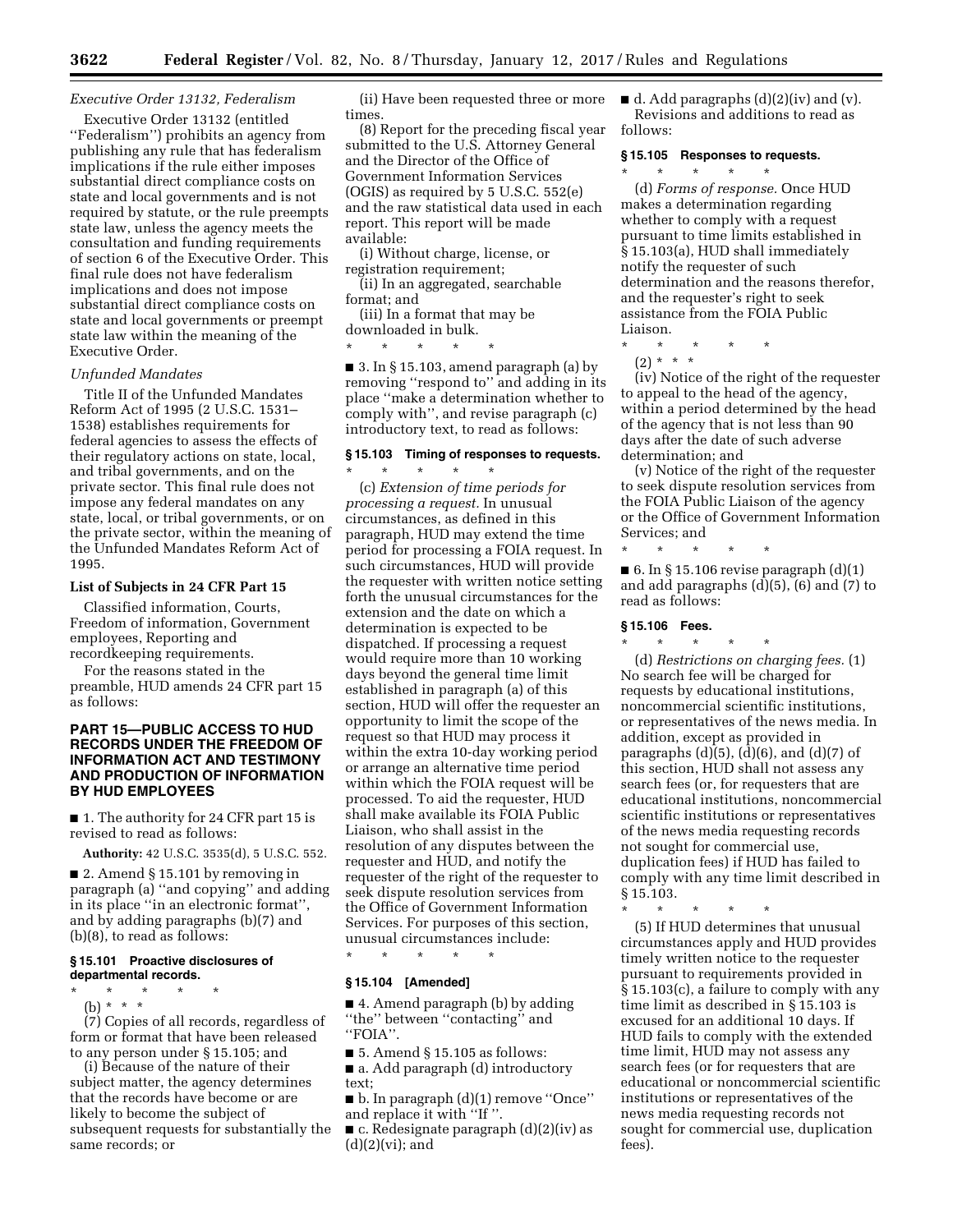# *Executive Order 13132, Federalism*

Executive Order 13132 (entitled ''Federalism'') prohibits an agency from publishing any rule that has federalism implications if the rule either imposes substantial direct compliance costs on state and local governments and is not required by statute, or the rule preempts state law, unless the agency meets the consultation and funding requirements of section 6 of the Executive Order. This final rule does not have federalism implications and does not impose substantial direct compliance costs on state and local governments or preempt state law within the meaning of the Executive Order.

## *Unfunded Mandates*

Title II of the Unfunded Mandates Reform Act of 1995 (2 U.S.C. 1531– 1538) establishes requirements for federal agencies to assess the effects of their regulatory actions on state, local, and tribal governments, and on the private sector. This final rule does not impose any federal mandates on any state, local, or tribal governments, or on the private sector, within the meaning of the Unfunded Mandates Reform Act of 1995.

## **List of Subjects in 24 CFR Part 15**

Classified information, Courts, Freedom of information, Government employees, Reporting and recordkeeping requirements.

For the reasons stated in the

preamble, HUD amends 24 CFR part 15 as follows:

# **PART 15—PUBLIC ACCESS TO HUD RECORDS UNDER THE FREEDOM OF INFORMATION ACT AND TESTIMONY AND PRODUCTION OF INFORMATION BY HUD EMPLOYEES**

■ 1. The authority for 24 CFR part 15 is revised to read as follows:

**Authority:** 42 U.S.C. 3535(d), 5 U.S.C. 552.

■ 2. Amend § 15.101 by removing in paragraph (a) ''and copying'' and adding in its place ''in an electronic format'', and by adding paragraphs (b)(7) and (b)(8), to read as follows:

#### **§ 15.101 Proactive disclosures of departmental records.**

\* \* \* \* \* (b)  $* * * *$ 

(7) Copies of all records, regardless of form or format that have been released to any person under § 15.105; and

(i) Because of the nature of their subject matter, the agency determines that the records have become or are likely to become the subject of subsequent requests for substantially the same records; or

(ii) Have been requested three or more times.

(8) Report for the preceding fiscal year submitted to the U.S. Attorney General and the Director of the Office of Government Information Services (OGIS) as required by 5 U.S.C. 552(e) and the raw statistical data used in each report. This report will be made available:

(i) Without charge, license, or registration requirement;

(ii) In an aggregated, searchable format; and

(iii) In a format that may be downloaded in bulk.

\* \* \* \* \*

■ 3. In § 15.103, amend paragraph (a) by removing ''respond to'' and adding in its place ''make a determination whether to comply with'', and revise paragraph (c) introductory text, to read as follows:

## **§ 15.103 Timing of responses to requests.**  \* \* \* \* \*

(c) *Extension of time periods for processing a request.* In unusual circumstances, as defined in this paragraph, HUD may extend the time period for processing a FOIA request. In such circumstances, HUD will provide the requester with written notice setting forth the unusual circumstances for the extension and the date on which a determination is expected to be dispatched. If processing a request would require more than 10 working days beyond the general time limit established in paragraph (a) of this section, HUD will offer the requester an opportunity to limit the scope of the request so that HUD may process it within the extra 10-day working period or arrange an alternative time period within which the FOIA request will be processed. To aid the requester, HUD shall make available its FOIA Public Liaison, who shall assist in the resolution of any disputes between the requester and HUD, and notify the requester of the right of the requester to seek dispute resolution services from the Office of Government Information Services. For purposes of this section, unusual circumstances include:

## **§ 15.104 [Amended]**

\* \* \* \* \*

■ 4. Amend paragraph (b) by adding ''the'' between ''contacting'' and ''FOIA''.

■ 5. Amend § 15.105 as follows:

■ a. Add paragraph (d) introductory text;

■ b. In paragraph (d)(1) remove ''Once'' and replace it with ''If ''.

■ c. Redesignate paragraph (d)(2)(iv) as  $(d)(2)(vi)$ ; and

 $\blacksquare$  d. Add paragraphs (d)(2)(iv) and (v). Revisions and additions to read as follows:

## **§ 15.105 Responses to requests.**

\* \* \* \* \* (d) *Forms of response.* Once HUD makes a determination regarding whether to comply with a request pursuant to time limits established in § 15.103(a), HUD shall immediately notify the requester of such determination and the reasons therefor, and the requester's right to seek assistance from the FOIA Public Liaison.

- \* \* \* \* \*
- (2) \* \* \*

(iv) Notice of the right of the requester to appeal to the head of the agency, within a period determined by the head of the agency that is not less than 90 days after the date of such adverse determination; and

(v) Notice of the right of the requester to seek dispute resolution services from the FOIA Public Liaison of the agency or the Office of Government Information Services; and

\* \* \* \* \*  $\blacksquare$  6. In § 15.106 revise paragraph  $(d)(1)$ and add paragraphs (d)(5), (6) and (7) to

## **§ 15.106 Fees.**

read as follows:

\* \* \* \* \* (d) *Restrictions on charging fees.* (1) No search fee will be charged for requests by educational institutions, noncommercial scientific institutions, or representatives of the news media. In addition, except as provided in paragraphs  $(d)(5)$ ,  $(d)(6)$ , and  $(d)(7)$  of this section, HUD shall not assess any search fees (or, for requesters that are educational institutions, noncommercial scientific institutions or representatives of the news media requesting records not sought for commercial use, duplication fees) if HUD has failed to comply with any time limit described in § 15.103.

\* \* \* \* \*

(5) If HUD determines that unusual circumstances apply and HUD provides timely written notice to the requester pursuant to requirements provided in § 15.103(c), a failure to comply with any time limit as described in § 15.103 is excused for an additional 10 days. If HUD fails to comply with the extended time limit, HUD may not assess any search fees (or for requesters that are educational or noncommercial scientific institutions or representatives of the news media requesting records not sought for commercial use, duplication fees).